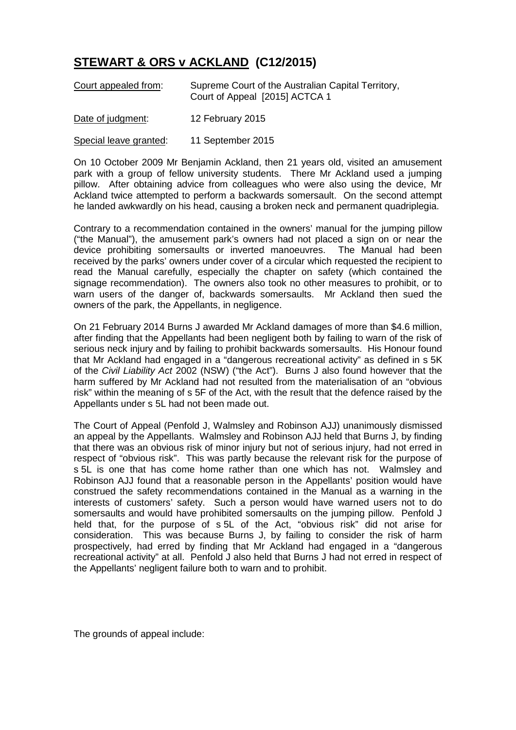## **STEWART & ORS v ACKLAND (C12/2015)**

| Court appealed from: | Supreme Court of the Australian Capital Territory,<br>Court of Appeal [2015] ACTCA 1 |
|----------------------|--------------------------------------------------------------------------------------|
| Dota of iudamont:    | $10$ Echruch, $2015$                                                                 |

Date of judgment: 12 February 2015

Special leave granted: 11 September 2015

On 10 October 2009 Mr Benjamin Ackland, then 21 years old, visited an amusement park with a group of fellow university students. There Mr Ackland used a jumping pillow. After obtaining advice from colleagues who were also using the device, Mr Ackland twice attempted to perform a backwards somersault. On the second attempt he landed awkwardly on his head, causing a broken neck and permanent quadriplegia.

Contrary to a recommendation contained in the owners' manual for the jumping pillow ("the Manual"), the amusement park's owners had not placed a sign on or near the device prohibiting somersaults or inverted manoeuvres. The Manual had been received by the parks' owners under cover of a circular which requested the recipient to read the Manual carefully, especially the chapter on safety (which contained the signage recommendation). The owners also took no other measures to prohibit, or to warn users of the danger of, backwards somersaults. Mr Ackland then sued the owners of the park, the Appellants, in negligence.

On 21 February 2014 Burns J awarded Mr Ackland damages of more than \$4.6 million, after finding that the Appellants had been negligent both by failing to warn of the risk of serious neck injury and by failing to prohibit backwards somersaults. His Honour found that Mr Ackland had engaged in a "dangerous recreational activity" as defined in s 5K of the *Civil Liability Act* 2002 (NSW) ("the Act"). Burns J also found however that the harm suffered by Mr Ackland had not resulted from the materialisation of an "obvious risk" within the meaning of s 5F of the Act, with the result that the defence raised by the Appellants under s 5L had not been made out.

The Court of Appeal (Penfold J, Walmsley and Robinson AJJ) unanimously dismissed an appeal by the Appellants. Walmsley and Robinson AJJ held that Burns J, by finding that there was an obvious risk of minor injury but not of serious injury, had not erred in respect of "obvious risk". This was partly because the relevant risk for the purpose of s 5L is one that has come home rather than one which has not. Walmsley and Robinson AJJ found that a reasonable person in the Appellants' position would have construed the safety recommendations contained in the Manual as a warning in the interests of customers' safety. Such a person would have warned users not to do somersaults and would have prohibited somersaults on the jumping pillow. Penfold J held that, for the purpose of s 5L of the Act, "obvious risk" did not arise for consideration. This was because Burns J, by failing to consider the risk of harm prospectively, had erred by finding that Mr Ackland had engaged in a "dangerous recreational activity" at all. Penfold J also held that Burns J had not erred in respect of the Appellants' negligent failure both to warn and to prohibit.

The grounds of appeal include: